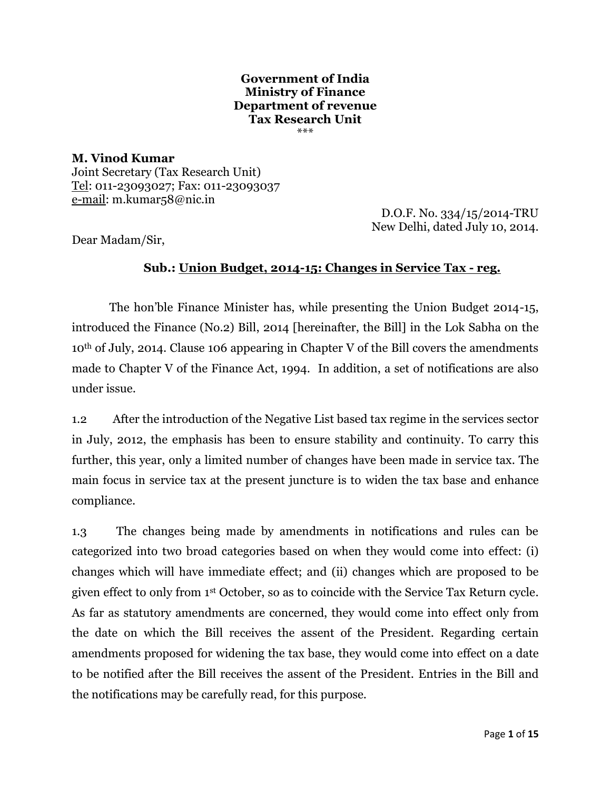#### **Government of India Ministry of Finance Department of revenue Tax Research Unit** \*\*\*

**M. Vinod Kumar** Joint Secretary (Tax Research Unit) Tel: 011-23093027; Fax: 011-23093037 e-mail: m.kumar58@nic.in

D.O.F. No. 334/15/2014-TRU New Delhi, dated July 10, 2014.

Dear Madam/Sir,

## **Sub.: Union Budget, 2014-15: Changes in Service Tax - reg.**

 The hon"ble Finance Minister has, while presenting the Union Budget 2014-15, introduced the Finance (No.2) Bill, 2014 [hereinafter, the Bill] in the Lok Sabha on the 10th of July, 2014. Clause 106 appearing in Chapter V of the Bill covers the amendments made to Chapter V of the Finance Act, 1994. In addition, a set of notifications are also under issue.

1.2 After the introduction of the Negative List based tax regime in the services sector in July, 2012, the emphasis has been to ensure stability and continuity. To carry this further, this year, only a limited number of changes have been made in service tax. The main focus in service tax at the present juncture is to widen the tax base and enhance compliance.

1.3 The changes being made by amendments in notifications and rules can be categorized into two broad categories based on when they would come into effect: (i) changes which will have immediate effect; and (ii) changes which are proposed to be given effect to only from 1st October, so as to coincide with the Service Tax Return cycle. As far as statutory amendments are concerned, they would come into effect only from the date on which the Bill receives the assent of the President. Regarding certain amendments proposed for widening the tax base, they would come into effect on a date to be notified after the Bill receives the assent of the President. Entries in the Bill and the notifications may be carefully read, for this purpose.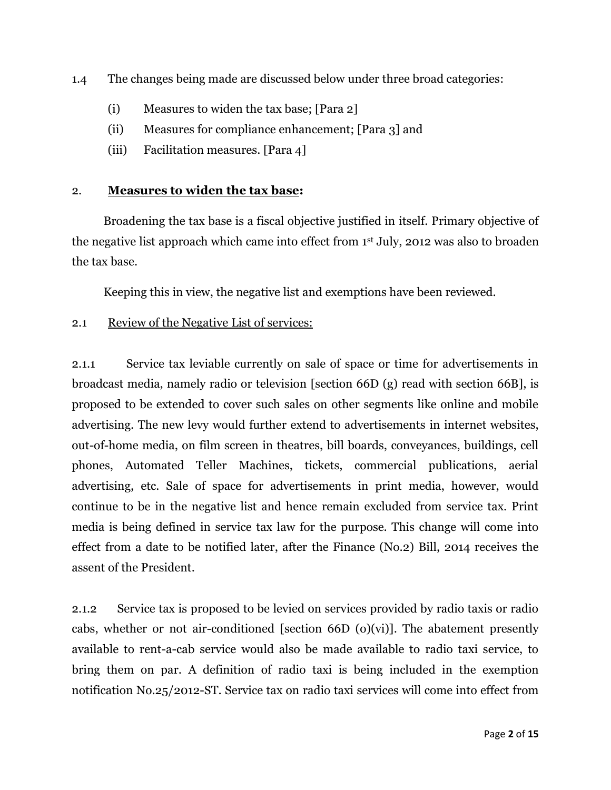1.4 The changes being made are discussed below under three broad categories:

- (i) Measures to widen the tax base; [Para 2]
- (ii) Measures for compliance enhancement; [Para 3] and
- (iii) Facilitation measures. [Para 4]

#### 2. **Measures to widen the tax base:**

 Broadening the tax base is a fiscal objective justified in itself. Primary objective of the negative list approach which came into effect from 1st July, 2012 was also to broaden the tax base.

Keeping this in view, the negative list and exemptions have been reviewed.

2.1 Review of the Negative List of services:

2.1.1 Service tax leviable currently on sale of space or time for advertisements in broadcast media, namely radio or television [section 66D (g) read with section 66B], is proposed to be extended to cover such sales on other segments like online and mobile advertising. The new levy would further extend to advertisements in internet websites, out-of-home media, on film screen in theatres, bill boards, conveyances, buildings, cell phones, Automated Teller Machines, tickets, commercial publications, aerial advertising, etc. Sale of space for advertisements in print media, however, would continue to be in the negative list and hence remain excluded from service tax. Print media is being defined in service tax law for the purpose. This change will come into effect from a date to be notified later, after the Finance (No.2) Bill, 2014 receives the assent of the President.

2.1.2 Service tax is proposed to be levied on services provided by radio taxis or radio cabs, whether or not air-conditioned [section 66D  $(o)(vi)$ ]. The abatement presently available to rent-a-cab service would also be made available to radio taxi service, to bring them on par. A definition of radio taxi is being included in the exemption notification No.25/2012-ST. Service tax on radio taxi services will come into effect from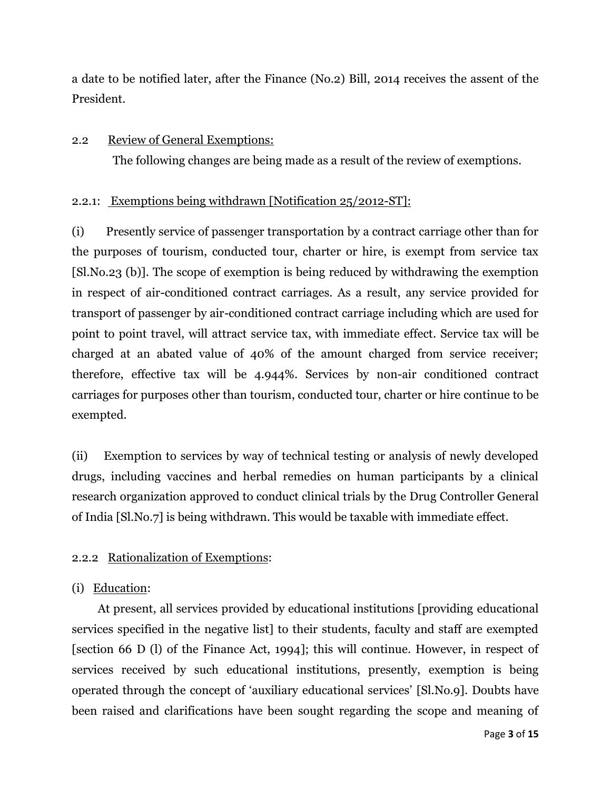a date to be notified later, after the Finance (No.2) Bill, 2014 receives the assent of the President.

#### 2.2 Review of General Exemptions:

The following changes are being made as a result of the review of exemptions.

## 2.2.1: Exemptions being withdrawn [Notification 25/2012-ST]:

(i) Presently service of passenger transportation by a contract carriage other than for the purposes of tourism, conducted tour, charter or hire, is exempt from service tax [Sl.No.23 (b)]. The scope of exemption is being reduced by withdrawing the exemption in respect of air-conditioned contract carriages. As a result, any service provided for transport of passenger by air-conditioned contract carriage including which are used for point to point travel, will attract service tax, with immediate effect. Service tax will be charged at an abated value of 40% of the amount charged from service receiver; therefore, effective tax will be 4.944%. Services by non-air conditioned contract carriages for purposes other than tourism, conducted tour, charter or hire continue to be exempted.

(ii) Exemption to services by way of technical testing or analysis of newly developed drugs, including vaccines and herbal remedies on human participants by a clinical research organization approved to conduct clinical trials by the Drug Controller General of India [Sl.No.7] is being withdrawn. This would be taxable with immediate effect.

## 2.2.2 Rationalization of Exemptions:

## (i) Education:

 At present, all services provided by educational institutions [providing educational services specified in the negative list] to their students, faculty and staff are exempted [section 66 D (l) of the Finance Act, 1994]; this will continue. However, in respect of services received by such educational institutions, presently, exemption is being operated through the concept of "auxiliary educational services" [Sl.No.9]. Doubts have been raised and clarifications have been sought regarding the scope and meaning of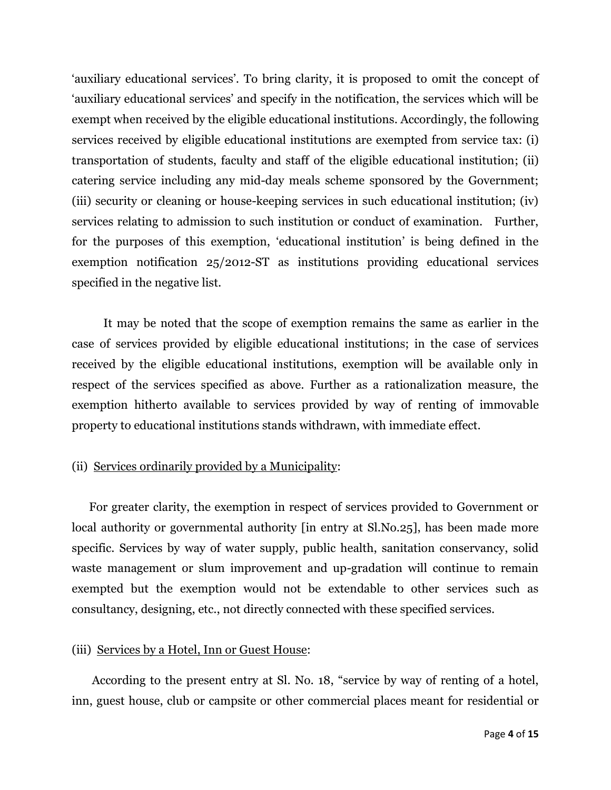'auxiliary educational services'. To bring clarity, it is proposed to omit the concept of "auxiliary educational services" and specify in the notification, the services which will be exempt when received by the eligible educational institutions. Accordingly, the following services received by eligible educational institutions are exempted from service tax: (i) transportation of students, faculty and staff of the eligible educational institution; (ii) catering service including any mid-day meals scheme sponsored by the Government; (iii) security or cleaning or house-keeping services in such educational institution; (iv) services relating to admission to such institution or conduct of examination. Further, for the purposes of this exemption, "educational institution" is being defined in the exemption notification 25/2012-ST as institutions providing educational services specified in the negative list.

 It may be noted that the scope of exemption remains the same as earlier in the case of services provided by eligible educational institutions; in the case of services received by the eligible educational institutions, exemption will be available only in respect of the services specified as above. Further as a rationalization measure, the exemption hitherto available to services provided by way of renting of immovable property to educational institutions stands withdrawn, with immediate effect.

#### (ii) Services ordinarily provided by a Municipality:

 For greater clarity, the exemption in respect of services provided to Government or local authority or governmental authority [in entry at Sl.No.25], has been made more specific. Services by way of water supply, public health, sanitation conservancy, solid waste management or slum improvement and up-gradation will continue to remain exempted but the exemption would not be extendable to other services such as consultancy, designing, etc., not directly connected with these specified services.

#### (iii) Services by a Hotel, Inn or Guest House:

 According to the present entry at Sl. No. 18, "service by way of renting of a hotel, inn, guest house, club or campsite or other commercial places meant for residential or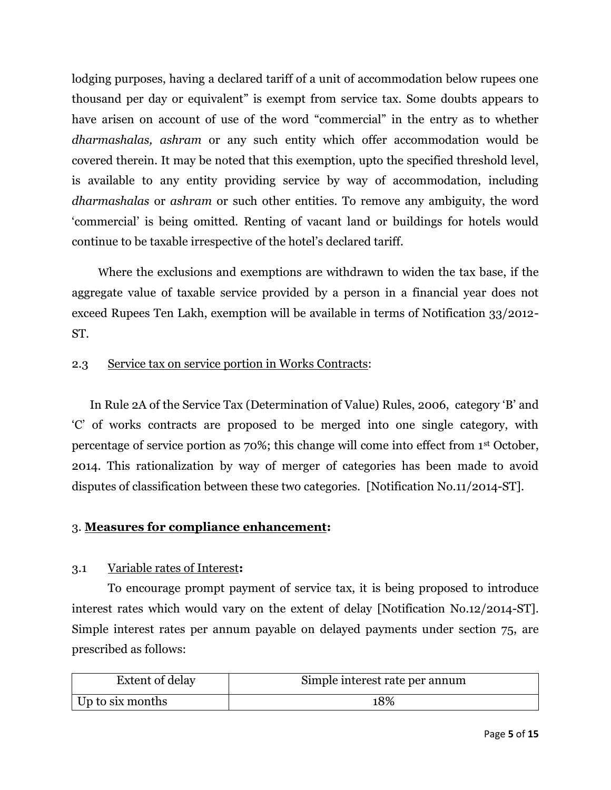lodging purposes, having a declared tariff of a unit of accommodation below rupees one thousand per day or equivalent" is exempt from service tax. Some doubts appears to have arisen on account of use of the word "commercial" in the entry as to whether *dharmashalas, ashram* or any such entity which offer accommodation would be covered therein. It may be noted that this exemption, upto the specified threshold level, is available to any entity providing service by way of accommodation, including *dharmashalas* or *ashram* or such other entities. To remove any ambiguity, the word "commercial" is being omitted. Renting of vacant land or buildings for hotels would continue to be taxable irrespective of the hotel"s declared tariff.

 Where the exclusions and exemptions are withdrawn to widen the tax base, if the aggregate value of taxable service provided by a person in a financial year does not exceed Rupees Ten Lakh, exemption will be available in terms of Notification 33/2012- ST.

#### 2.3 Service tax on service portion in Works Contracts:

In Rule 2A of the Service Tax (Determination of Value) Rules, 2006, category "B" and "C" of works contracts are proposed to be merged into one single category, with percentage of service portion as 70%; this change will come into effect from 1st October, 2014. This rationalization by way of merger of categories has been made to avoid disputes of classification between these two categories. [Notification No.11/2014-ST].

#### 3. **Measures for compliance enhancement:**

#### 3.1 Variable rates of Interest**:**

To encourage prompt payment of service tax, it is being proposed to introduce interest rates which would vary on the extent of delay [Notification No.12/2014-ST]. Simple interest rates per annum payable on delayed payments under section 75, are prescribed as follows:

| <b>Extent of delay</b> | Simple interest rate per annum |
|------------------------|--------------------------------|
| Up to six months       | 18%                            |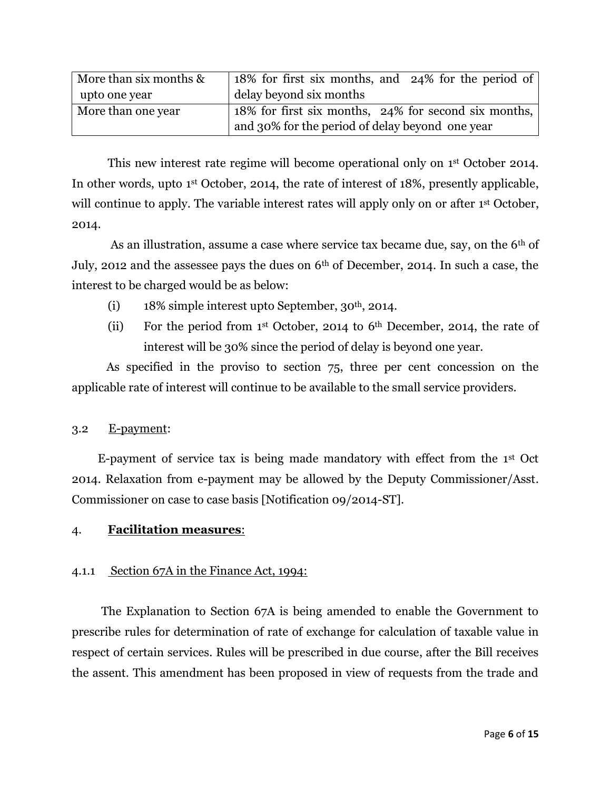| More than six months & | 18% for first six months, and 24% for the period of  |
|------------------------|------------------------------------------------------|
| upto one year          | delay beyond six months                              |
| More than one year     | 18% for first six months, 24% for second six months, |
|                        | and 30% for the period of delay beyond one year      |

This new interest rate regime will become operational only on 1<sup>st</sup> October 2014. In other words, upto 1st October, 2014, the rate of interest of 18%, presently applicable, will continue to apply. The variable interest rates will apply only on or after 1<sup>st</sup> October, 2014.

As an illustration, assume a case where service tax became due, say, on the 6<sup>th</sup> of July, 2012 and the assessee pays the dues on 6th of December, 2014. In such a case, the interest to be charged would be as below:

- (i)  $18\%$  simple interest upto September, 30<sup>th</sup>, 2014.
- (ii) For the period from  $1<sup>st</sup>$  October, 2014 to 6<sup>th</sup> December, 2014, the rate of interest will be 30% since the period of delay is beyond one year.

 As specified in the proviso to section 75, three per cent concession on the applicable rate of interest will continue to be available to the small service providers.

#### 3.2 E-payment:

 E-payment of service tax is being made mandatory with effect from the 1st Oct 2014. Relaxation from e-payment may be allowed by the Deputy Commissioner/Asst. Commissioner on case to case basis [Notification 09/2014-ST].

#### 4. **Facilitation measures**:

## 4.1.1 Section 67A in the Finance Act, 1994:

 The Explanation to Section 67A is being amended to enable the Government to prescribe rules for determination of rate of exchange for calculation of taxable value in respect of certain services. Rules will be prescribed in due course, after the Bill receives the assent. This amendment has been proposed in view of requests from the trade and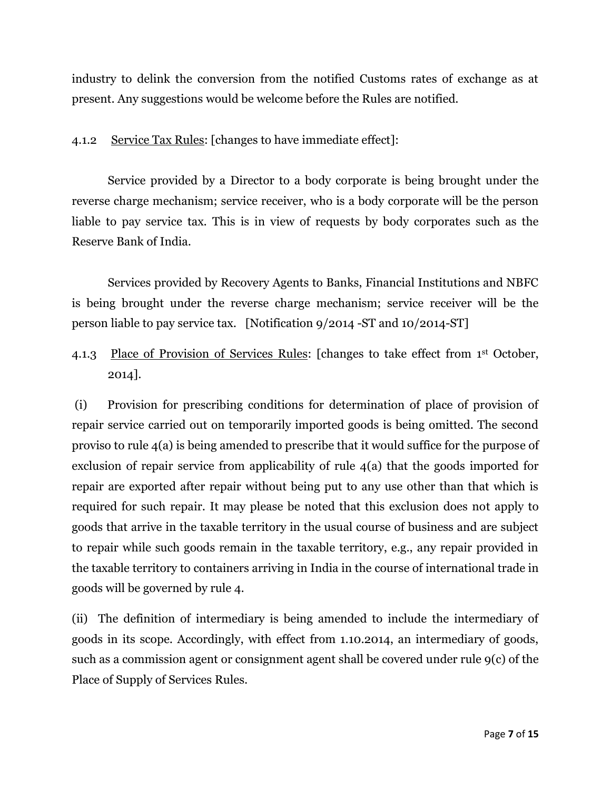industry to delink the conversion from the notified Customs rates of exchange as at present. Any suggestions would be welcome before the Rules are notified.

## 4.1.2 Service Tax Rules: [changes to have immediate effect]:

Service provided by a Director to a body corporate is being brought under the reverse charge mechanism; service receiver, who is a body corporate will be the person liable to pay service tax. This is in view of requests by body corporates such as the Reserve Bank of India.

Services provided by Recovery Agents to Banks, Financial Institutions and NBFC is being brought under the reverse charge mechanism; service receiver will be the person liable to pay service tax. [Notification 9/2014 -ST and 10/2014-ST]

4.1.3 Place of Provision of Services Rules: [changes to take effect from 1st October, 2014].

(i) Provision for prescribing conditions for determination of place of provision of repair service carried out on temporarily imported goods is being omitted. The second proviso to rule 4(a) is being amended to prescribe that it would suffice for the purpose of exclusion of repair service from applicability of rule 4(a) that the goods imported for repair are exported after repair without being put to any use other than that which is required for such repair. It may please be noted that this exclusion does not apply to goods that arrive in the taxable territory in the usual course of business and are subject to repair while such goods remain in the taxable territory, e.g., any repair provided in the taxable territory to containers arriving in India in the course of international trade in goods will be governed by rule 4.

(ii) The definition of intermediary is being amended to include the intermediary of goods in its scope. Accordingly, with effect from 1.10.2014, an intermediary of goods, such as a commission agent or consignment agent shall be covered under rule 9(c) of the Place of Supply of Services Rules.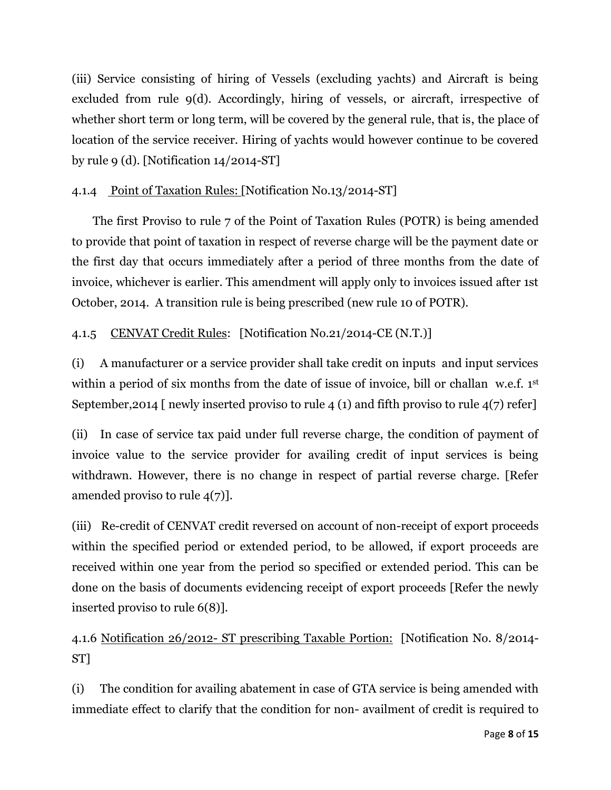(iii) Service consisting of hiring of Vessels (excluding yachts) and Aircraft is being excluded from rule 9(d). Accordingly, hiring of vessels, or aircraft, irrespective of whether short term or long term, will be covered by the general rule, that is, the place of location of the service receiver. Hiring of yachts would however continue to be covered by rule 9 (d). [Notification 14/2014-ST]

## 4.1.4 Point of Taxation Rules: [Notification No.13/2014-ST]

 The first Proviso to rule 7 of the Point of Taxation Rules (POTR) is being amended to provide that point of taxation in respect of reverse charge will be the payment date or the first day that occurs immediately after a period of three months from the date of invoice, whichever is earlier. This amendment will apply only to invoices issued after 1st October, 2014. A transition rule is being prescribed (new rule 10 of POTR).

## 4.1.5 CENVAT Credit Rules: [Notification No.21/2014-CE (N.T.)]

(i) A manufacturer or a service provider shall take credit on inputs and input services within a period of six months from the date of issue of invoice, bill or challan w.e.f. 1st September,2014 [ newly inserted proviso to rule 4 (1) and fifth proviso to rule 4(7) refer]

(ii) In case of service tax paid under full reverse charge, the condition of payment of invoice value to the service provider for availing credit of input services is being withdrawn. However, there is no change in respect of partial reverse charge. [Refer amended proviso to rule  $4(7)$ ].

(iii) Re-credit of CENVAT credit reversed on account of non-receipt of export proceeds within the specified period or extended period, to be allowed, if export proceeds are received within one year from the period so specified or extended period. This can be done on the basis of documents evidencing receipt of export proceeds [Refer the newly inserted proviso to rule 6(8)].

4.1.6 Notification 26/2012- ST prescribing Taxable Portion: [Notification No. 8/2014- ST]

(i) The condition for availing abatement in case of GTA service is being amended with immediate effect to clarify that the condition for non- availment of credit is required to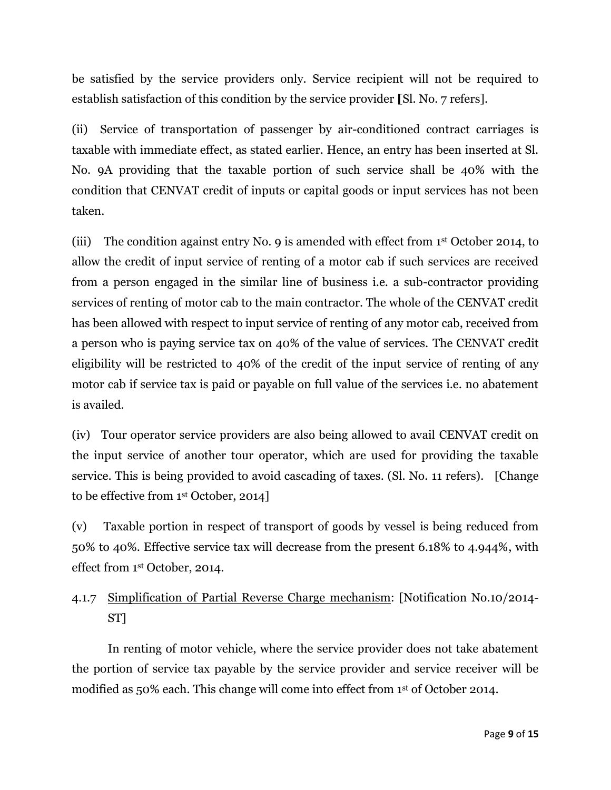be satisfied by the service providers only. Service recipient will not be required to establish satisfaction of this condition by the service provider **[**Sl. No. 7 refers].

(ii) Service of transportation of passenger by air-conditioned contract carriages is taxable with immediate effect, as stated earlier. Hence, an entry has been inserted at Sl. No. 9A providing that the taxable portion of such service shall be 40% with the condition that CENVAT credit of inputs or capital goods or input services has not been taken.

(iii) The condition against entry No. 9 is amended with effect from 1st October 2014, to allow the credit of input service of renting of a motor cab if such services are received from a person engaged in the similar line of business i.e. a sub-contractor providing services of renting of motor cab to the main contractor. The whole of the CENVAT credit has been allowed with respect to input service of renting of any motor cab, received from a person who is paying service tax on 40% of the value of services. The CENVAT credit eligibility will be restricted to 40% of the credit of the input service of renting of any motor cab if service tax is paid or payable on full value of the services i.e. no abatement is availed.

(iv) Tour operator service providers are also being allowed to avail CENVAT credit on the input service of another tour operator, which are used for providing the taxable service. This is being provided to avoid cascading of taxes. (Sl. No. 11 refers). [Change to be effective from 1st October, 2014]

(v) Taxable portion in respect of transport of goods by vessel is being reduced from 50% to 40%. Effective service tax will decrease from the present 6.18% to 4.944%, with effect from 1st October, 2014.

# 4.1.7 Simplification of Partial Reverse Charge mechanism: [Notification No.10/2014- ST]

In renting of motor vehicle, where the service provider does not take abatement the portion of service tax payable by the service provider and service receiver will be modified as 50% each. This change will come into effect from 1st of October 2014.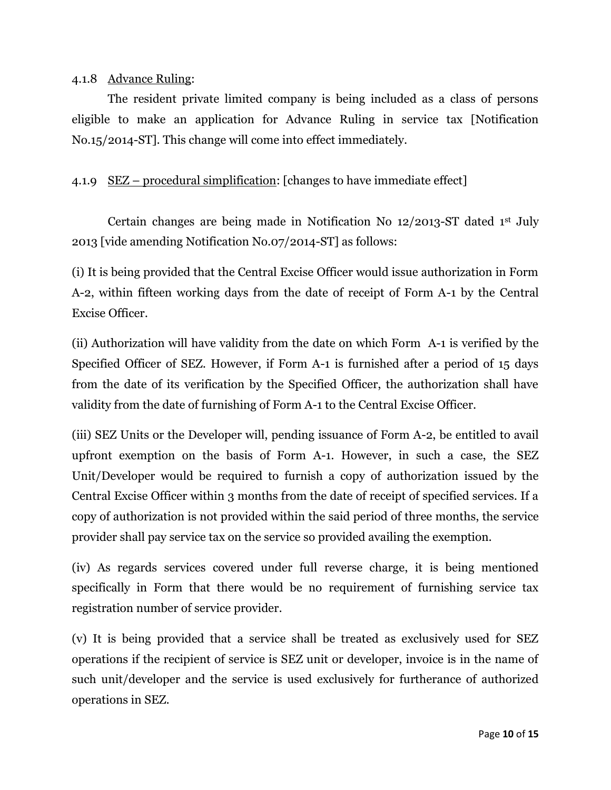#### 4.1.8 Advance Ruling:

The resident private limited company is being included as a class of persons eligible to make an application for Advance Ruling in service tax [Notification No.15/2014-ST]. This change will come into effect immediately.

## 4.1.9 SEZ – procedural simplification: [changes to have immediate effect]

Certain changes are being made in Notification No 12/2013-ST dated 1st July 2013 [vide amending Notification No.07/2014-ST] as follows:

(i) It is being provided that the Central Excise Officer would issue authorization in Form A-2, within fifteen working days from the date of receipt of Form A-1 by the Central Excise Officer.

(ii) Authorization will have validity from the date on which Form A-1 is verified by the Specified Officer of SEZ. However, if Form A-1 is furnished after a period of 15 days from the date of its verification by the Specified Officer, the authorization shall have validity from the date of furnishing of Form A-1 to the Central Excise Officer.

(iii) SEZ Units or the Developer will, pending issuance of Form A-2, be entitled to avail upfront exemption on the basis of Form A-1. However, in such a case, the SEZ Unit/Developer would be required to furnish a copy of authorization issued by the Central Excise Officer within 3 months from the date of receipt of specified services. If a copy of authorization is not provided within the said period of three months, the service provider shall pay service tax on the service so provided availing the exemption.

(iv) As regards services covered under full reverse charge, it is being mentioned specifically in Form that there would be no requirement of furnishing service tax registration number of service provider.

(v) It is being provided that a service shall be treated as exclusively used for SEZ operations if the recipient of service is SEZ unit or developer, invoice is in the name of such unit/developer and the service is used exclusively for furtherance of authorized operations in SEZ.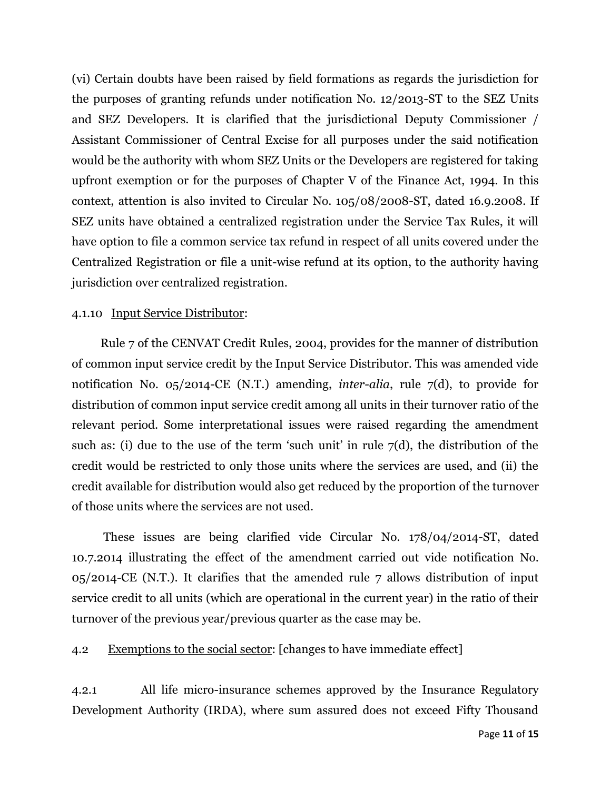(vi) Certain doubts have been raised by field formations as regards the jurisdiction for the purposes of granting refunds under notification No. 12/2013-ST to the SEZ Units and SEZ Developers. It is clarified that the jurisdictional Deputy Commissioner / Assistant Commissioner of Central Excise for all purposes under the said notification would be the authority with whom SEZ Units or the Developers are registered for taking upfront exemption or for the purposes of Chapter V of the Finance Act, 1994. In this context, attention is also invited to Circular No. 105/08/2008-ST, dated 16.9.2008. If SEZ units have obtained a centralized registration under the Service Tax Rules, it will have option to file a common service tax refund in respect of all units covered under the Centralized Registration or file a unit-wise refund at its option, to the authority having jurisdiction over centralized registration.

#### 4.1.10 Input Service Distributor:

 Rule 7 of the CENVAT Credit Rules, 2004, provides for the manner of distribution of common input service credit by the Input Service Distributor. This was amended vide notification No. 05/2014-CE (N.T.) amending, *inter-alia*, rule 7(d), to provide for distribution of common input service credit among all units in their turnover ratio of the relevant period. Some interpretational issues were raised regarding the amendment such as: (i) due to the use of the term 'such unit' in rule  $7(d)$ , the distribution of the credit would be restricted to only those units where the services are used, and (ii) the credit available for distribution would also get reduced by the proportion of the turnover of those units where the services are not used.

 These issues are being clarified vide Circular No. 178/04/2014-ST, dated 10.7.2014 illustrating the effect of the amendment carried out vide notification No. 05/2014-CE (N.T.). It clarifies that the amended rule 7 allows distribution of input service credit to all units (which are operational in the current year) in the ratio of their turnover of the previous year/previous quarter as the case may be.

#### 4.2 Exemptions to the social sector: [changes to have immediate effect]

4.2.1 All life micro-insurance schemes approved by the Insurance Regulatory Development Authority (IRDA), where sum assured does not exceed Fifty Thousand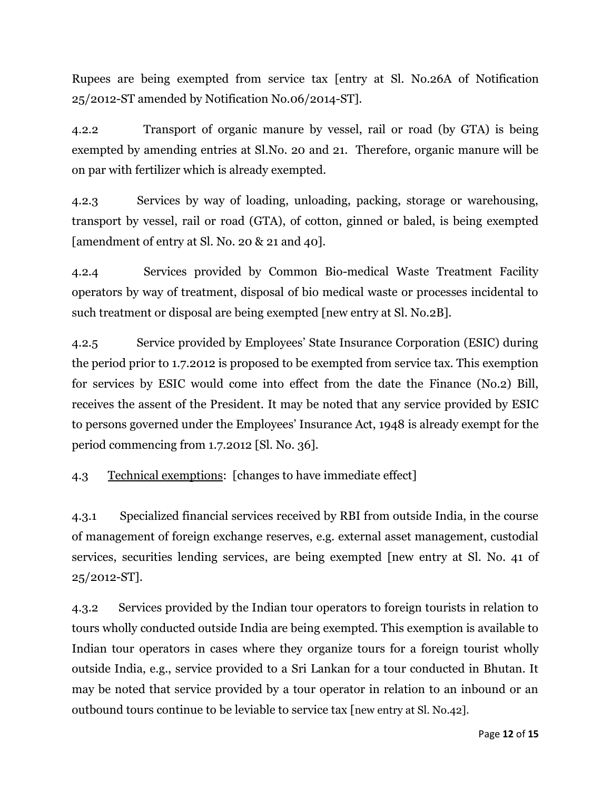Rupees are being exempted from service tax [entry at Sl. No.26A of Notification 25/2012-ST amended by Notification No.06/2014-ST].

4.2.2 Transport of organic manure by vessel, rail or road (by GTA) is being exempted by amending entries at Sl.No. 20 and 21. Therefore, organic manure will be on par with fertilizer which is already exempted.

4.2.3 Services by way of loading, unloading, packing, storage or warehousing, transport by vessel, rail or road (GTA), of cotton, ginned or baled, is being exempted [amendment of entry at Sl. No. 20 & 21 and 40].

4.2.4 Services provided by Common Bio-medical Waste Treatment Facility operators by way of treatment, disposal of bio medical waste or processes incidental to such treatment or disposal are being exempted [new entry at Sl. No.2B].

4.2.5 Service provided by Employees" State Insurance Corporation (ESIC) during the period prior to 1.7.2012 is proposed to be exempted from service tax. This exemption for services by ESIC would come into effect from the date the Finance (No.2) Bill, receives the assent of the President. It may be noted that any service provided by ESIC to persons governed under the Employees" Insurance Act, 1948 is already exempt for the period commencing from 1.7.2012 [Sl. No. 36].

4.3 Technical exemptions: [changes to have immediate effect]

4.3.1 Specialized financial services received by RBI from outside India, in the course of management of foreign exchange reserves, e.g. external asset management, custodial services, securities lending services, are being exempted [new entry at Sl. No. 41 of 25/2012-ST].

4.3.2 Services provided by the Indian tour operators to foreign tourists in relation to tours wholly conducted outside India are being exempted. This exemption is available to Indian tour operators in cases where they organize tours for a foreign tourist wholly outside India, e.g., service provided to a Sri Lankan for a tour conducted in Bhutan. It may be noted that service provided by a tour operator in relation to an inbound or an outbound tours continue to be leviable to service tax [new entry at Sl. No.42].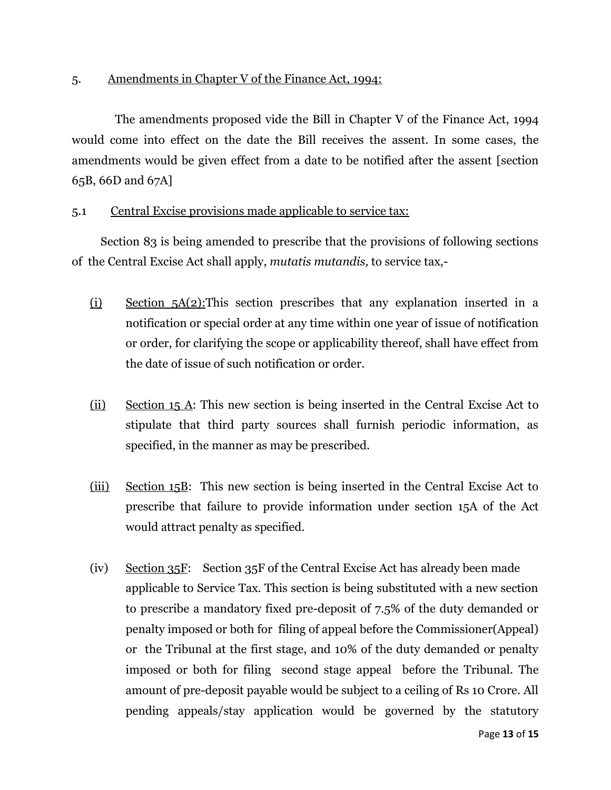#### 5. Amendments in Chapter V of the Finance Act, 1994:

 The amendments proposed vide the Bill in Chapter V of the Finance Act, 1994 would come into effect on the date the Bill receives the assent. In some cases, the amendments would be given effect from a date to be notified after the assent [section 65B, 66D and 67A]

## 5.1 Central Excise provisions made applicable to service tax:

 Section 83 is being amended to prescribe that the provisions of following sections of the Central Excise Act shall apply, *mutatis mutandis,* to service tax,-

- (i) Section 5A(2):This section prescribes that any explanation inserted in a notification or special order at any time within one year of issue of notification or order, for clarifying the scope or applicability thereof, shall have effect from the date of issue of such notification or order.
- (ii) Section 15 A: This new section is being inserted in the Central Excise Act to stipulate that third party sources shall furnish periodic information, as specified, in the manner as may be prescribed.
- (iii) Section 15B: This new section is being inserted in the Central Excise Act to prescribe that failure to provide information under section 15A of the Act would attract penalty as specified.
- (iv) Section 35F: Section 35F of the Central Excise Act has already been made applicable to Service Tax. This section is being substituted with a new section to prescribe a mandatory fixed pre-deposit of 7.5% of the duty demanded or penalty imposed or both for filing of appeal before the Commissioner(Appeal) or the Tribunal at the first stage, and 10% of the duty demanded or penalty imposed or both for filing second stage appeal before the Tribunal. The amount of pre-deposit payable would be subject to a ceiling of Rs 10 Crore. All pending appeals/stay application would be governed by the statutory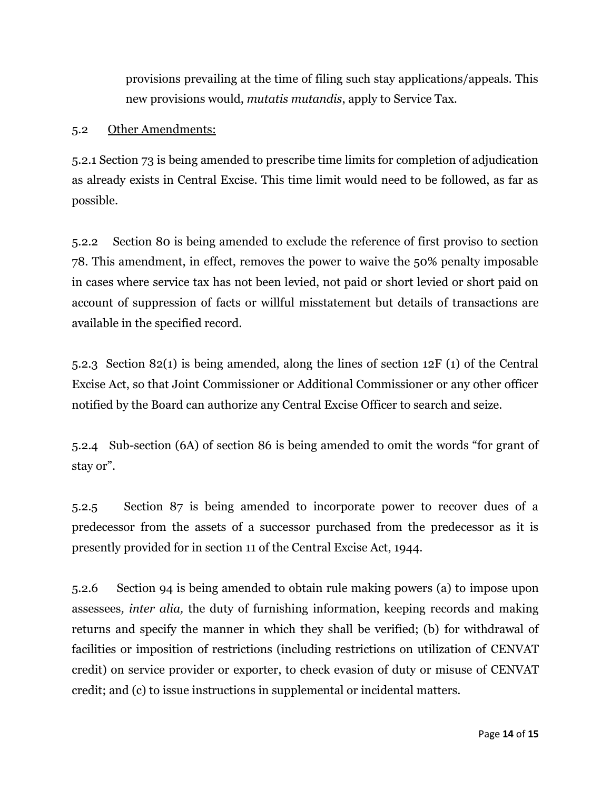provisions prevailing at the time of filing such stay applications/appeals. This new provisions would, *mutatis mutandis*, apply to Service Tax.

#### 5.2 Other Amendments:

5.2.1 Section 73 is being amended to prescribe time limits for completion of adjudication as already exists in Central Excise. This time limit would need to be followed, as far as possible.

5.2.2 Section 80 is being amended to exclude the reference of first proviso to section 78. This amendment, in effect, removes the power to waive the 50% penalty imposable in cases where service tax has not been levied, not paid or short levied or short paid on account of suppression of facts or willful misstatement but details of transactions are available in the specified record.

5.2.3 Section 82(1) is being amended, along the lines of section 12F (1) of the Central Excise Act, so that Joint Commissioner or Additional Commissioner or any other officer notified by the Board can authorize any Central Excise Officer to search and seize.

5.2.4 Sub-section (6A) of section 86 is being amended to omit the words "for grant of stay or".

5.2.5 Section 87 is being amended to incorporate power to recover dues of a predecessor from the assets of a successor purchased from the predecessor as it is presently provided for in section 11 of the Central Excise Act, 1944.

5.2.6 Section 94 is being amended to obtain rule making powers (a) to impose upon assessees*, inter alia,* the duty of furnishing information, keeping records and making returns and specify the manner in which they shall be verified; (b) for withdrawal of facilities or imposition of restrictions (including restrictions on utilization of CENVAT credit) on service provider or exporter, to check evasion of duty or misuse of CENVAT credit; and (c) to issue instructions in supplemental or incidental matters.